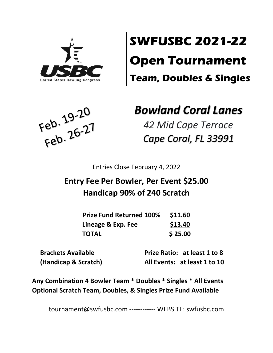

# **SWFUSBC 2021-22**

# **Open Tournament**

**Team, Doubles & Singles**



## *Bowland Coral Lanes*

*42 Mid Cape Terrace Cape Coral, FL 33991*

Entries Close February 4, 2022

## **Entry Fee Per Bowler, Per Event \$25.00 Handicap 90% of 240 Scratch**

| <b>Prize Fund Returned 100%</b> | \$11.60 |
|---------------------------------|---------|
| Lineage & Exp. Fee              | \$13.40 |
| <b>TOTAL</b>                    | \$25.00 |

 **Brackets Available Prize Ratio: at least 1 to 8 (Handicap & Scratch) All Events: at least 1 to 10**

**Any Combination 4 Bowler Team \* Doubles \* Singles \* All Events Optional Scratch Team, Doubles, & Singles Prize Fund Available**

tournament@swfusbc.com ------------ WEBSITE: swfusbc.com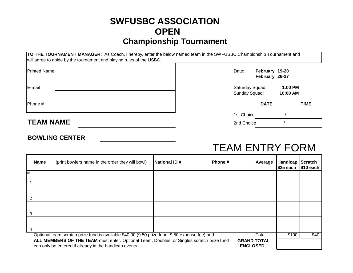### **SWFUSBC ASSOCIATION OPEN Championship Tournament**

|                     | TO THE TOURNAMENT MANAGER: As Coach, I hereby, enter the below named team in the SWFUSBC Championship Tournament and<br>will agree to abide by the tournament and playing rules of the USBC. |                                  |             |                                  |             |
|---------------------|----------------------------------------------------------------------------------------------------------------------------------------------------------------------------------------------|----------------------------------|-------------|----------------------------------|-------------|
| <b>Printed Name</b> |                                                                                                                                                                                              | Date:                            |             | February 19-20<br>February 26-27 |             |
| E-mail              |                                                                                                                                                                                              | Saturday Squad:<br>Sunday Squad: |             | $1:00$ PM<br>10:00 AM            |             |
| Phone #             |                                                                                                                                                                                              |                                  | <b>DATE</b> |                                  | <b>TIME</b> |
|                     |                                                                                                                                                                                              | 1st Choice                       |             |                                  |             |
| <b>TEAM NAME</b>    |                                                                                                                                                                                              | 2nd Choice                       |             |                                  |             |

#### **BOWLING CENTER**

## TEAM ENTRY FORM

|                                                                                                                                                                                              | Name                                                                                                    | (print bowlers name in the order they will bowl) | National ID# | IPhone # | Average | Handicap Scratch<br>\$25 each 1\$10 each |      |
|----------------------------------------------------------------------------------------------------------------------------------------------------------------------------------------------|---------------------------------------------------------------------------------------------------------|--------------------------------------------------|--------------|----------|---------|------------------------------------------|------|
| #                                                                                                                                                                                            |                                                                                                         |                                                  |              |          |         |                                          |      |
|                                                                                                                                                                                              |                                                                                                         |                                                  |              |          |         |                                          |      |
|                                                                                                                                                                                              |                                                                                                         |                                                  |              |          |         |                                          |      |
|                                                                                                                                                                                              |                                                                                                         |                                                  |              |          |         |                                          |      |
|                                                                                                                                                                                              |                                                                                                         |                                                  |              |          |         |                                          |      |
|                                                                                                                                                                                              | Optional team scratch prize fund is available \$40.00 (9.50 prize fund, \$.50 expense fee) and<br>Total |                                                  |              |          |         |                                          | \$40 |
| ALL MEMBERS OF THE TEAM must enter. Optional Team, Doubles, or Singles scratch prize fund<br><b>GRAND TOTAL</b><br>can only be entered if already in the handicap events.<br><b>ENCLOSED</b> |                                                                                                         |                                                  |              |          |         |                                          |      |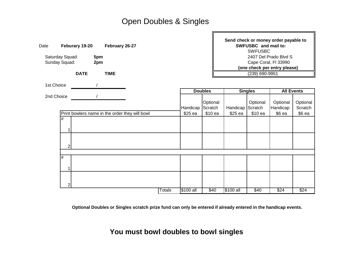### Open Doubles & Singles

|              |                                                              |                                             |                               |                                                |                                                   | Send check or money order payable to<br>SWFUSBC and mail to: |                                  |                                              |                                                                                                                          |  |
|--------------|--------------------------------------------------------------|---------------------------------------------|-------------------------------|------------------------------------------------|---------------------------------------------------|--------------------------------------------------------------|----------------------------------|----------------------------------------------|--------------------------------------------------------------------------------------------------------------------------|--|
|              |                                                              |                                             |                               |                                                |                                                   | 2407 Del Prado Blvd S                                        |                                  |                                              |                                                                                                                          |  |
|              |                                                              |                                             |                               |                                                |                                                   |                                                              |                                  |                                              |                                                                                                                          |  |
|              |                                                              |                                             |                               |                                                |                                                   |                                                              |                                  |                                              |                                                                                                                          |  |
|              |                                                              |                                             |                               |                                                |                                                   |                                                              |                                  |                                              |                                                                                                                          |  |
|              |                                                              |                                             |                               |                                                |                                                   |                                                              |                                  |                                              |                                                                                                                          |  |
|              |                                                              |                                             |                               |                                                |                                                   |                                                              |                                  | <b>All Events</b>                            |                                                                                                                          |  |
|              |                                                              |                                             |                               |                                                | Optional                                          |                                                              | Optional                         | Optional                                     | Optional<br>Scratch                                                                                                      |  |
|              |                                                              |                                             |                               |                                                |                                                   |                                                              |                                  |                                              | $$6$ ea                                                                                                                  |  |
| #<br>1       |                                                              |                                             |                               |                                                |                                                   |                                                              |                                  |                                              |                                                                                                                          |  |
| $\mathsf{2}$ |                                                              |                                             |                               |                                                |                                                   |                                                              |                                  |                                              |                                                                                                                          |  |
| #<br>1       |                                                              |                                             |                               |                                                |                                                   |                                                              |                                  |                                              |                                                                                                                          |  |
| 2            |                                                              |                                             |                               |                                                |                                                   |                                                              |                                  |                                              | \$24                                                                                                                     |  |
|              | Saturday Squad:<br>Sunday Squad:<br>1st Choice<br>2nd Choice | Feburary 19-20<br>5pm<br>2pm<br><b>DATE</b> | February 26-27<br><b>TIME</b> | Print bowlers name in the order they will bowl | Handicap<br>\$25 ea<br><b>Totals</b><br>\$100 all | <b>Doubles</b><br>Scratch<br>\$10 ea<br>\$40                 | Handicap<br>\$25 ea<br>\$100 all | <b>Singles</b><br>Scratch<br>\$10 ea<br>\$40 | <b>SWFUSBC</b><br>Cape Coral, FI 33990<br>(one check per entry please)<br>$(239)$ 690-9951<br>Handicap<br>\$6 ea<br>\$24 |  |

**Optional Doubles or Singles scratch prize fund can only be entered if already entered in the handicap events.**

**You must bowl doubles to bowl singles**